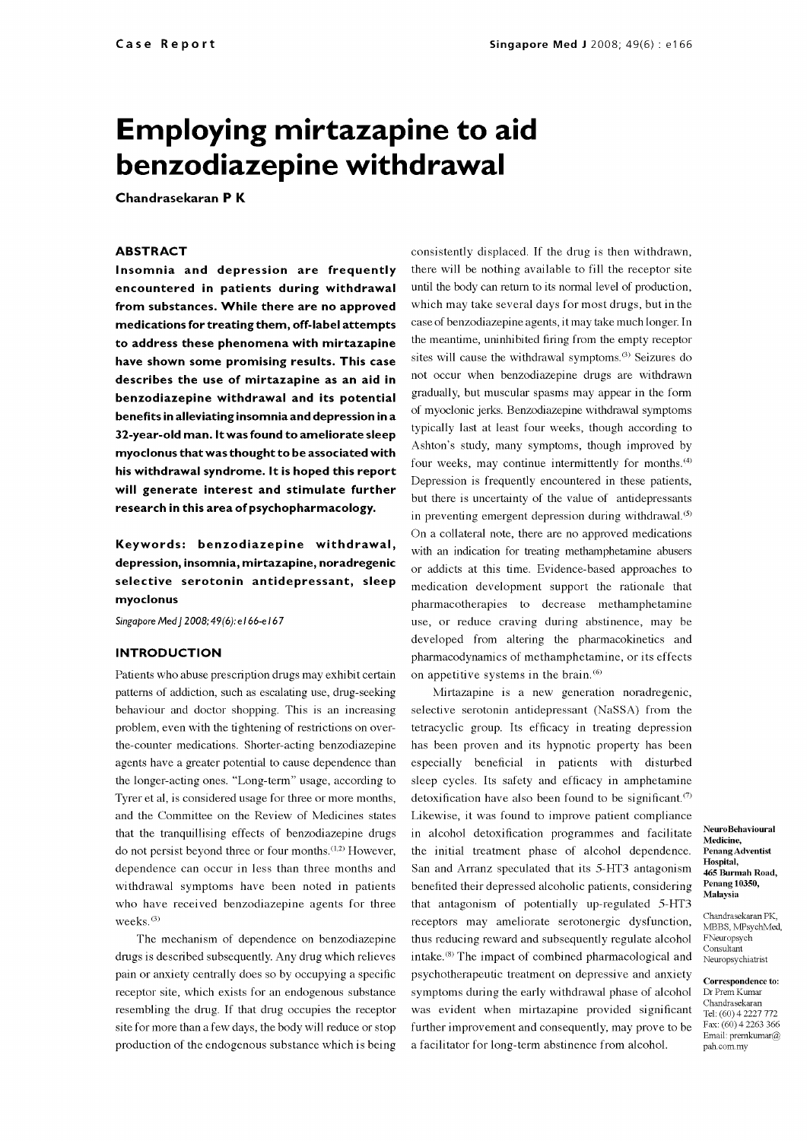# Employing mirtazapine to aid benzodiazepine withdrawal

Chandrasekaran P K

# ABSTRACT

Insomnia and depression are frequently encountered in patients during withdrawal from substances. While there are no approved medications for treating them, off -label attempts to address these phenomena with mirtazapine have shown some promising results. This case describes the use of mirtazapine as an aid in benzodiazepine withdrawal and its potential benefits in alleviating insomnia and depression in a<br>32-year-old man. It was found to ameliorate sleep myoclonus that was thought to be associated with his withdrawal syndrome. It is hoped this report will generate interest and stimulate further research in this area of psychopharmacology.

depression, insomnia, mirtazapine, noradregenic selective serotonin antidepressant, sleep myoclonus

Singapore Med J 2008; 49(6): el 66-e 167

# INTRODUCTION

Patients who abuse prescription drugs may exhibit certain patterns of addiction, such as escalating use, drug-seeking behaviour and doctor shopping. This is an increasing problem, even with the tightening of restrictions on over the-counter medications. Shorter -acting benzodiazepine agents have a greater potential to cause dependence than the longer -acting ones. "Long-term" usage, according to Tyrer et al, is considered usage for three or more months, and the Committee on the Review of Medicines states that the tranquillising effects of benzodiazepine drugs do not persist beyond three or four months. $(1,2)$  However, dependence can occur in less than three months and withdrawal symptoms have been noted in patients who have received benzodiazepine agents for three weeks. (3)

The mechanism of dependence on benzodiazepine drugs is described subsequently. Any drug which relieves pain or anxiety centrally does so by occupying a specific receptor site, which exists for an endogenous substance resembling the drug. If that drug occupies the receptor site for more than a few days, the body will reduce or stop production of the endogenous substance which is being

Keywords: benzodiazepine withdrawal, with an indication for treating methamphetamine abusers consistently displaced. If the drug is then withdrawn, there will be nothing available to fill the receptor site until the body can return to its normal level of production, which may take several days for most drugs, but in the case of benzodiazepine agents, it may take much longer. In the meantime, uninhibited firing from the empty receptor sites will cause the withdrawal symptoms.<sup>(3)</sup> Seizures do not occur when benzodiazepine drugs are withdrawn gradually, but muscular spasms may appear in the form of myoclonic jerks. Benzodiazepine withdrawal symptoms typically last at least four weeks, though according to Ashton's study, many symptoms, though improved by four weeks, may continue intermittently for months.<sup>(4)</sup> Depression is frequently encountered in these patients, but there is uncertainty of the value of antidepressants in preventing emergent depression during withdrawal. $(5)$ On a collateral note, there are no approved medications or addicts at this time. Evidence-based approaches to medication development support the rationale that pharmacotherapies to decrease methamphetamine use, or reduce craving during abstinence, may be developed from altering the pharmacokinetics and pharmacodynamics of methamphetamine, or its effects on appetitive systems in the brain. (6)

> Mirtazapine is a new generation noradregenic, selective serotonin antidepressant (NaSSA) from the tetracyclic group. Its efficacy in treating depression has been proven and its hypnotic property has been especially beneficial in patients with disturbed sleep cycles. Its safety and efficacy in amphetamine detoxification have also been found to be significant.<sup>(7)</sup> Likewise, it was found to improve patient compliance in alcohol detoxification programmes and facilitate the initial treatment phase of alcohol dependence. San and Arranz speculated that its 5-HT3 antagonism benefited their depressed alcoholic patients, considering that antagonism of potentially up-regulated 5-HT3 receptors may ameliorate serotonergic dysfunction, thus reducing reward and subsequently regulate alcohol intake.(8) The impact of combined pharmacological and psychotherapeutic treatment on depressive and anxiety symptoms during the early withdrawal phase of alcohol was evident when mirtazapine provided significant  $\frac{\text{Chandrasekaran}}{\text{Tab} \cdot (60) \cdot 4.2227}$ further improvement and consequently, may prove to be a facilitator for long-term abstinence from alcohol.

NeuroBehavioural Medicine, Penang Adventist Hospital. 465 Burmah Road, Penang 10350, Malaysia

Chandrasekaran PK, MBBS, MPsychMed FNeuropsych Consultant Neuropsychiatrist

**Correspondence to:**<br>Dr Prem Kumar Tel: (60) 4 2227 772<br>Fax: (60) 4 2263 366 Email: premkumar $@$ pah.com.my